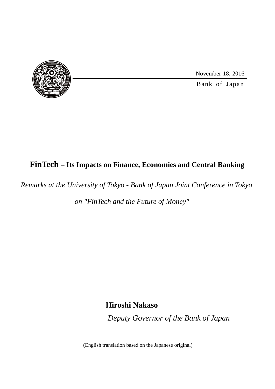

November 18, 2016

Bank of Japan

# **FinTech – Its Impacts on Finance, Economies and Central Banking**

*Remarks at the University of Tokyo - Bank of Japan Joint Conference in Tokyo*

*on "FinTech and the Future of Money"*

**Hiroshi Nakaso**

*Deputy Governor of the Bank of Japan*

(English translation based on the Japanese original)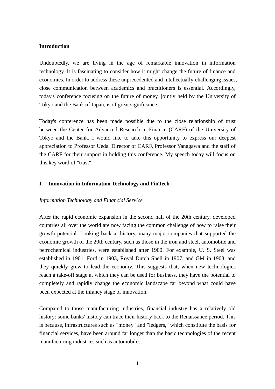#### **Introduction**

Undoubtedly, we are living in the age of remarkable innovation in information technology. It is fascinating to consider how it might change the future of finance and economies. In order to address these unprecedented and intellectually-challenging issues, close communication between academics and practitioners is essential. Accordingly, today's conference focusing on the future of money, jointly held by the University of Tokyo and the Bank of Japan, is of great significance.

Today's conference has been made possible due to the close relationship of trust between the Center for Advanced Research in Finance (CARF) of the University of Tokyo and the Bank. I would like to take this opportunity to express our deepest appreciation to Professor Ueda, Director of CARF, Professor Yanagawa and the staff of the CARF for their support in holding this conference. My speech today will focus on this key word of "trust".

### **I. Innovation in Information Technology and FinTech**

### *Information Technology and Financial Service*

After the rapid economic expansion in the second half of the 20th century, developed countries all over the world are now facing the common challenge of how to raise their growth potential. Looking back at history, many major companies that supported the economic growth of the 20th century, such as those in the iron and steel, automobile and petrochemical industries, were established after 1900. For example, U. S. Steel was established in 1901, Ford in 1903, Royal Dutch Shell in 1907, and GM in 1908, and they quickly grew to lead the economy. This suggests that, when new technologies reach a take-off stage at which they can be used for business, they have the potential to completely and rapidly change the economic landscape far beyond what could have been expected at the infancy stage of innovation.

Compared to those manufacturing industries, financial industry has a relatively old history: some banks' history can trace their history back to the Renaissance period. This is because, infrastructures such as "money" and "ledgers," which constitute the basis for financial services, have been around far longer than the basic technologies of the recent manufacturing industries such as automobiles.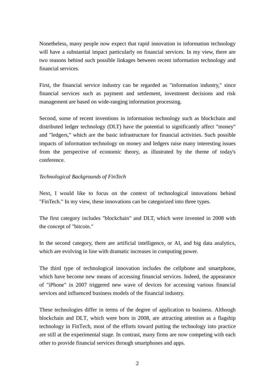Nonetheless, many people now expect that rapid innovation in information technology will have a substantial impact particularly on financial services. In my view, there are two reasons behind such possible linkages between recent information technology and financial services.

First, the financial service industry can be regarded as "information industry," since financial services such as payment and settlement, investment decisions and risk management are based on wide-ranging information processing.

Second, some of recent inventions in information technology such as blockchain and distributed ledger technology (DLT) have the potential to significantly affect "money" and "ledgers," which are the basic infrastructure for financial activities. Such possible impacts of information technology on money and ledgers raise many interesting issues from the perspective of economic theory, as illustrated by the theme of today's conference.

# *Technological Backgrounds of FinTech*

Next, I would like to focus on the context of technological innovations behind "FinTech." In my view, these innovations can be categorized into three types.

The first category includes "blockchain" and DLT, which were invented in 2008 with the concept of "bitcoin."

In the second category, there are artificial intelligence, or AI, and big data analytics, which are evolving in line with dramatic increases in computing power.

The third type of technological innovation includes the cellphone and smartphone, which have become new means of accessing financial services. Indeed, the appearance of "iPhone" in 2007 triggered new wave of devices for accessing various financial services and influenced business models of the financial industry.

These technologies differ in terms of the degree of application to business. Although blockchain and DLT, which were born in 2008, are attracting attention as a flagship technology in FinTech, most of the efforts toward putting the technology into practice are still at the experimental stage. In contrast, many firms are now competing with each other to provide financial services through smartphones and apps.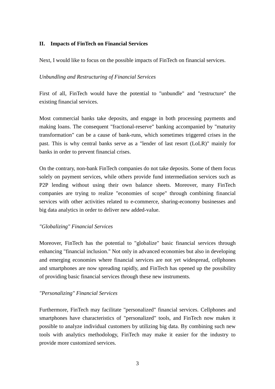## **II. Impacts of FinTech on Financial Services**

Next, I would like to focus on the possible impacts of FinTech on financial services.

## *Unbundling and Restructuring of Financial Services*

First of all, FinTech would have the potential to "unbundle" and "restructure" the existing financial services.

Most commercial banks take deposits, and engage in both processing payments and making loans. The consequent "fractional-reserve" banking accompanied by "maturity transformation" can be a cause of bank-runs, which sometimes triggered crises in the past. This is why central banks serve as a "lender of last resort (LoLR)" mainly for banks in order to prevent financial crises.

On the contrary, non-bank FinTech companies do not take deposits. Some of them focus solely on payment services, while others provide fund intermediation services such as P2P lending without using their own balance sheets. Moreover, many FinTech companies are trying to realize "economies of scope" through combining financial services with other activities related to e-commerce, sharing-economy businesses and big data analytics in order to deliver new added-value.

### *"Globalizing" Financial Services*

Moreover, FinTech has the potential to "globalize" basic financial services through enhancing "financial inclusion." Not only in advanced economies but also in developing and emerging economies where financial services are not yet widespread, cellphones and smartphones are now spreading rapidly, and FinTech has opened up the possibility of providing basic financial services through these new instruments.

## *"Personalizing" Financial Services*

Furthermore, FinTech may facilitate "personalized" financial services. Cellphones and smartphones have characteristics of "personalized" tools, and FinTech now makes it possible to analyze individual customers by utilizing big data. By combining such new tools with analytics methodology, FinTech may make it easier for the industry to provide more customized services.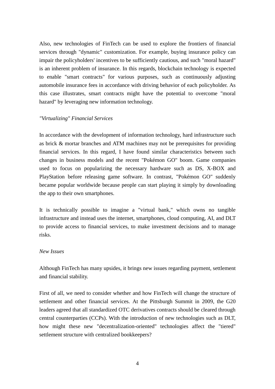Also, new technologies of FinTech can be used to explore the frontiers of financial services through "dynamic" customization. For example, buying insurance policy can impair the policyholders' incentives to be sufficiently cautious, and such "moral hazard" is an inherent problem of insurance. In this regards, blockchain technology is expected to enable "smart contracts" for various purposes, such as continuously adjusting automobile insurance fees in accordance with driving behavior of each policyholder. As this case illustrates, smart contracts might have the potential to overcome "moral hazard" by leveraging new information technology.

### *"Virtualizing" Financial Services*

In accordance with the development of information technology, hard infrastructure such as brick & mortar branches and ATM machines may not be prerequisites for providing financial services. In this regard, I have found similar characteristics between such changes in business models and the recent "Pokémon GO" boom. Game companies used to focus on popularizing the necessary hardware such as DS, X-BOX and PlayStation before releasing game software. In contrast, "Pokémon GO" suddenly became popular worldwide because people can start playing it simply by downloading the app to their own smartphones.

It is technically possible to imagine a "virtual bank," which owns no tangible infrastructure and instead uses the internet, smartphones, cloud computing, AI, and DLT to provide access to financial services, to make investment decisions and to manage risks.

#### *New Issues*

Although FinTech has many upsides, it brings new issues regarding payment, settlement and financial stability.

First of all, we need to consider whether and how FinTech will change the structure of settlement and other financial services. At the Pittsburgh Summit in 2009, the G20 leaders agreed that all standardized OTC derivatives contracts should be cleared through central counterparties (CCPs). With the introduction of new technologies such as DLT, how might these new "decentralization-oriented" technologies affect the "tiered" settlement structure with centralized bookkeepers?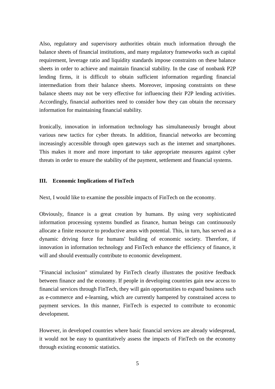Also, regulatory and supervisory authorities obtain much information through the balance sheets of financial institutions, and many regulatory frameworks such as capital requirement, leverage ratio and liquidity standards impose constraints on these balance sheets in order to achieve and maintain financial stability. In the case of nonbank P2P lending firms, it is difficult to obtain sufficient information regarding financial intermediation from their balance sheets. Moreover, imposing constraints on these balance sheets may not be very effective for influencing their P2P lending activities. Accordingly, financial authorities need to consider how they can obtain the necessary information for maintaining financial stability.

Ironically, innovation in information technology has simultaneously brought about various new tactics for cyber threats. In addition, financial networks are becoming increasingly accessible through open gateways such as the internet and smartphones. This makes it more and more important to take appropriate measures against cyber threats in order to ensure the stability of the payment, settlement and financial systems.

## **III. Economic Implications of FinTech**

Next, I would like to examine the possible impacts of FinTech on the economy.

Obviously, finance is a great creation by humans. By using very sophisticated information processing systems bundled as finance, human beings can continuously allocate a finite resource to productive areas with potential. This, in turn, has served as a dynamic driving force for humans' building of economic society. Therefore, if innovation in information technology and FinTech enhance the efficiency of finance, it will and should eventually contribute to economic development.

"Financial inclusion" stimulated by FinTech clearly illustrates the positive feedback between finance and the economy. If people in developing countries gain new access to financial services through FinTech, they will gain opportunities to expand business such as e-commerce and e-learning, which are currently hampered by constrained access to payment services. In this manner, FinTech is expected to contribute to economic development.

However, in developed countries where basic financial services are already widespread, it would not be easy to quantitatively assess the impacts of FinTech on the economy through existing economic statistics.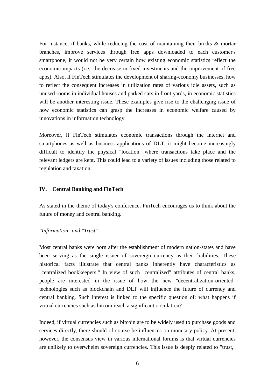For instance, if banks, while reducing the cost of maintaining their bricks & mortar branches, improve services through free apps downloaded to each customer's smartphone, it would not be very certain how existing economic statistics reflect the economic impacts (i.e., the decrease in fixed investments and the improvement of free apps). Also, if FinTech stimulates the development of sharing-economy businesses, how to reflect the consequent increases in utilization rates of various idle assets, such as unused rooms in individual houses and parked cars in front yards, in economic statistics will be another interesting issue. These examples give rise to the challenging issue of how economic statistics can grasp the increases in economic welfare caused by innovations in information technology.

Moreover, if FinTech stimulates economic transactions through the internet and smartphones as well as business applications of DLT, it might become increasingly difficult to identify the physical "location" where transactions take place and the relevant ledgers are kept. This could lead to a variety of issues including those related to regulation and taxation.

#### **IV. Central Banking and FinTech**

As stated in the theme of today's conference, FinTech encourages us to think about the future of money and central banking.

### *"Information" and "Trust"*

Most central banks were born after the establishment of modern nation-states and have been serving as the single issuer of sovereign currency as their liabilities. These historical facts illustrate that central banks inherently have characteristics as "centralized bookkeepers." In view of such "centralized" attributes of central banks, people are interested in the issue of how the new "decentralization-oriented" technologies such as blockchain and DLT will influence the future of currency and central banking. Such interest is linked to the specific question of: what happens if virtual currencies such as bitcoin reach a significant circulation?

Indeed, if virtual currencies such as bitcoin are to be widely used to purchase goods and services directly, there should of course be influences on monetary policy. At present, however, the consensus view in various international forums is that virtual currencies are unlikely to overwhelm sovereign currencies. This issue is deeply related to "trust,"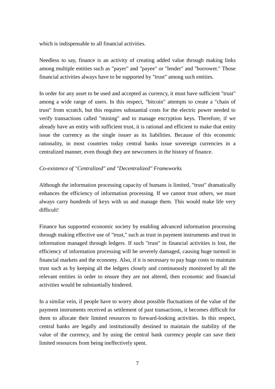which is indispensable to all financial activities.

Needless to say, finance is an activity of creating added value through making links among multiple entities such as "payer" and "payee" or "lender" and "borrower." Those financial activities always have to be supported by "trust" among such entities.

In order for any asset to be used and accepted as currency, it must have sufficient "trust" among a wide range of users. In this respect, "bitcoin" attempts to create a "chain of trust" from scratch, but this requires substantial costs for the electric power needed to verify transactions called "mining" and to manage encryption keys. Therefore, if we already have an entity with sufficient trust, it is rational and efficient to make that entity issue the currency as the single issuer as its liabilities. Because of this economic rationality, in most countries today central banks issue sovereign currencies in a centralized manner, even though they are newcomers in the history of finance.

# *Co-existence of "Centralized" and "Decentralized" Frameworks*

Although the information processing capacity of humans is limited, "trust" dramatically enhances the efficiency of information processing. If we cannot trust others, we must always carry hundreds of keys with us and manage them. This would make life very difficult!

Finance has supported economic society by enabling advanced information processing through making effective use of "trust," such as trust in payment instruments and trust in information managed through ledgers. If such "trust" in financial activities is lost, the efficiency of information processing will be severely damaged, causing huge turmoil in financial markets and the economy. Also, if it is necessary to pay huge costs to maintain trust such as by keeping all the ledgers closely and continuously monitored by all the relevant entities in order to ensure they are not altered, then economic and financial activities would be substantially hindered.

In a similar vein, if people have to worry about possible fluctuations of the value of the payment instruments received as settlement of past transactions, it becomes difficult for them to allocate their limited resources to forward-looking activities. In this respect, central banks are legally and institutionally destined to maintain the stability of the value of the currency, and by using the central bank currency people can save their limited resources from being ineffectively spent.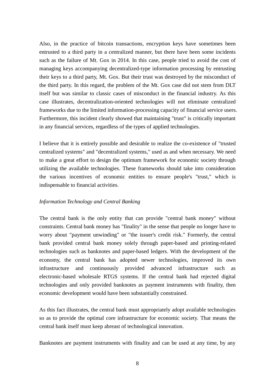Also, in the practice of bitcoin transactions, encryption keys have sometimes been entrusted to a third party in a centralized manner, but there have been some incidents such as the failure of Mt. Gox in 2014. In this case, people tried to avoid the cost of managing keys accompanying decentralized-type information processing by entrusting their keys to a third party, Mt. Gox. But their trust was destroyed by the misconduct of the third party. In this regard, the problem of the Mt. Gox case did not stem from DLT itself but was similar to classic cases of misconduct in the financial industry. As this case illustrates, decentralization-oriented technologies will not eliminate centralized frameworks due to the limited information-processing capacity of financial service users. Furthermore, this incident clearly showed that maintaining "trust" is critically important in any financial services, regardless of the types of applied technologies.

I believe that it is entirely possible and desirable to realize the co-existence of "trusted centralized systems" and "decentralized systems," used as and when necessary. We need to make a great effort to design the optimum framework for economic society through utilizing the available technologies. These frameworks should take into consideration the various incentives of economic entities to ensure people's "trust," which is indispensable to financial activities.

### *Information Technology and Central Banking*

The central bank is the only entity that can provide "central bank money" without constraints. Central bank money has "finality" in the sense that people no longer have to worry about "payment unwinding" or "the issuer's credit risk." Formerly, the central bank provided central bank money solely through paper-based and printing-related technologies such as banknotes and paper-based ledgers. With the development of the economy, the central bank has adopted newer technologies, improved its own infrastructure and continuously provided advanced infrastructure such as electronic-based wholesale RTGS systems. If the central bank had rejected digital technologies and only provided banknotes as payment instruments with finality, then economic development would have been substantially constrained.

As this fact illustrates, the central bank must appropriately adopt available technologies so as to provide the optimal core infrastructure for economic society. That means the central bank itself must keep abreast of technological innovation.

Banknotes are payment instruments with finality and can be used at any time, by any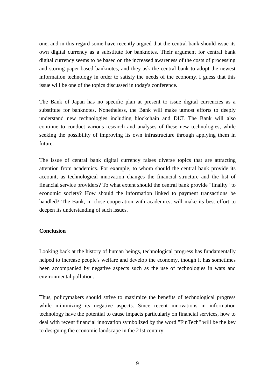one, and in this regard some have recently argued that the central bank should issue its own digital currency as a substitute for banknotes. Their argument for central bank digital currency seems to be based on the increased awareness of the costs of processing and storing paper-based banknotes, and they ask the central bank to adopt the newest information technology in order to satisfy the needs of the economy. I guess that this issue will be one of the topics discussed in today's conference.

The Bank of Japan has no specific plan at present to issue digital currencies as a substitute for banknotes. Nonetheless, the Bank will make utmost efforts to deeply understand new technologies including blockchain and DLT. The Bank will also continue to conduct various research and analyses of these new technologies, while seeking the possibility of improving its own infrastructure through applying them in future.

The issue of central bank digital currency raises diverse topics that are attracting attention from academics. For example, to whom should the central bank provide its account, as technological innovation changes the financial structure and the list of financial service providers? To what extent should the central bank provide "finality" to economic society? How should the information linked to payment transactions be handled? The Bank, in close cooperation with academics, will make its best effort to deepen its understanding of such issues.

### **Conclusion**

Looking back at the history of human beings, technological progress has fundamentally helped to increase people's welfare and develop the economy, though it has sometimes been accompanied by negative aspects such as the use of technologies in wars and environmental pollution.

Thus, policymakers should strive to maximize the benefits of technological progress while minimizing its negative aspects. Since recent innovations in information technology have the potential to cause impacts particularly on financial services, how to deal with recent financial innovation symbolized by the word "FinTech" will be the key to designing the economic landscape in the 21st century.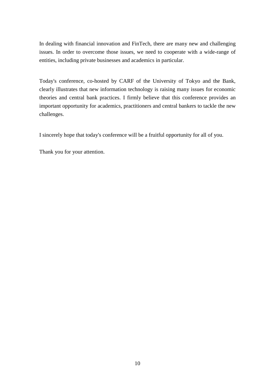In dealing with financial innovation and FinTech, there are many new and challenging issues. In order to overcome those issues, we need to cooperate with a wide-range of entities, including private businesses and academics in particular.

Today's conference, co-hosted by CARF of the University of Tokyo and the Bank, clearly illustrates that new information technology is raising many issues for economic theories and central bank practices. I firmly believe that this conference provides an important opportunity for academics, practitioners and central bankers to tackle the new challenges.

I sincerely hope that today's conference will be a fruitful opportunity for all of you.

Thank you for your attention.